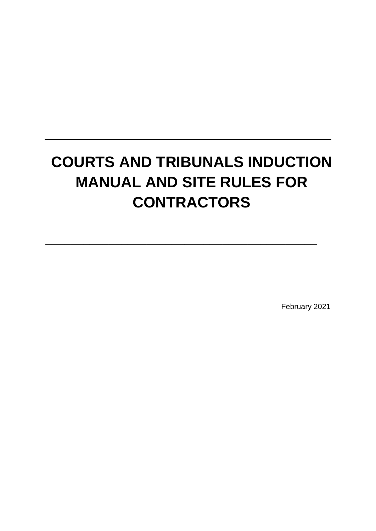# **COURTS AND TRIBUNALS INDUCTION MANUAL AND SITE RULES FOR CONTRACTORS**

**\_\_\_\_\_\_\_\_\_\_\_\_\_\_\_\_\_\_\_\_\_\_\_\_\_\_\_\_\_\_\_\_\_\_\_\_\_\_\_\_\_\_\_** 

February 2021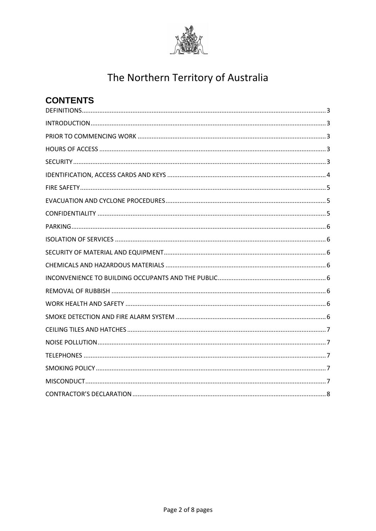

| <b>CONTENTS</b> |
|-----------------|
|                 |
|                 |
|                 |
|                 |
|                 |
|                 |
|                 |
|                 |
|                 |
|                 |
|                 |
|                 |
|                 |
|                 |
|                 |
|                 |
|                 |
|                 |
|                 |
|                 |
|                 |
|                 |
|                 |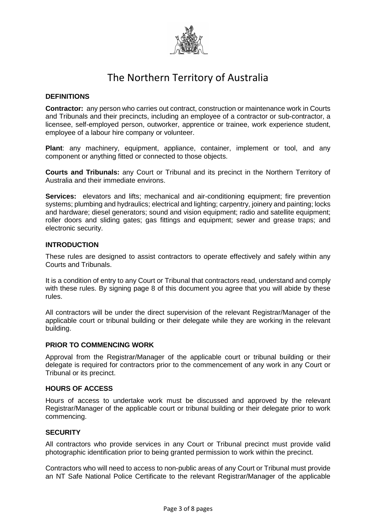

#### <span id="page-2-0"></span>**DEFINITIONS**

**Contractor:** any person who carries out contract, construction or maintenance work in Courts and Tribunals and their precincts, including an employee of a contractor or sub-contractor, a licensee, self-employed person, outworker, apprentice or trainee, work experience student, employee of a labour hire company or volunteer.

**Plant**: any machinery, equipment, appliance, container, implement or tool, and any component or anything fitted or connected to those objects.

**Courts and Tribunals:** any Court or Tribunal and its precinct in the Northern Territory of Australia and their immediate environs.

**Services:** elevators and lifts; mechanical and air-conditioning equipment; fire prevention systems; plumbing and hydraulics; electrical and lighting; carpentry, joinery and painting; locks and hardware; diesel generators; sound and vision equipment; radio and satellite equipment; roller doors and sliding gates; gas fittings and equipment; sewer and grease traps; and electronic security.

#### <span id="page-2-1"></span>**INTRODUCTION**

These rules are designed to assist contractors to operate effectively and safely within any Courts and Tribunals.

It is a condition of entry to any Court or Tribunal that contractors read, understand and comply with these rules. By signing page 8 of this document you agree that you will abide by these rules.

All contractors will be under the direct supervision of the relevant Registrar/Manager of the applicable court or tribunal building or their delegate while they are working in the relevant building.

#### <span id="page-2-2"></span>**PRIOR TO COMMENCING WORK**

Approval from the Registrar/Manager of the applicable court or tribunal building or their delegate is required for contractors prior to the commencement of any work in any Court or Tribunal or its precinct.

#### <span id="page-2-3"></span>**HOURS OF ACCESS**

Hours of access to undertake work must be discussed and approved by the relevant Registrar/Manager of the applicable court or tribunal building or their delegate prior to work commencing.

#### <span id="page-2-4"></span>**SECURITY**

All contractors who provide services in any Court or Tribunal precinct must provide valid photographic identification prior to being granted permission to work within the precinct.

Contractors who will need to access to non-public areas of any Court or Tribunal must provide an NT Safe National Police Certificate to the relevant Registrar/Manager of the applicable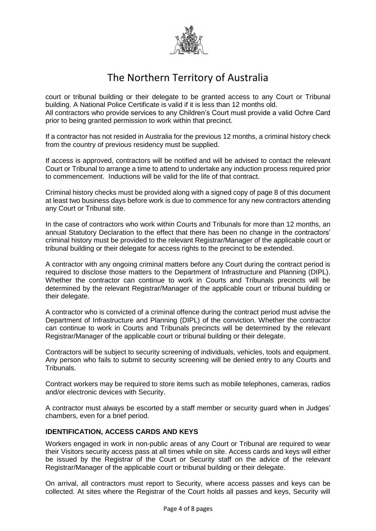

court or tribunal building or their delegate to be granted access to any Court or Tribunal building. A National Police Certificate is valid if it is less than 12 months old. All contractors who provide services to any Children's Court must provide a valid Ochre Card prior to being granted permission to work within that precinct.

If a contractor has not resided in Australia for the previous 12 months, a criminal history check from the country of previous residency must be supplied.

If access is approved, contractors will be notified and will be advised to contact the relevant Court or Tribunal to arrange a time to attend to undertake any induction process required prior to commencement. Inductions will be valid for the life of that contract.

Criminal history checks must be provided along with a signed copy of page 8 of this document at least two business days before work is due to commence for any new contractors attending any Court or Tribunal site.

In the case of contractors who work within Courts and Tribunals for more than 12 months, an annual Statutory Declaration to the effect that there has been no change in the contractors' criminal history must be provided to the relevant Registrar/Manager of the applicable court or tribunal building or their delegate for access rights to the precinct to be extended.

A contractor with any ongoing criminal matters before any Court during the contract period is required to disclose those matters to the Department of Infrastructure and Planning (DIPL). Whether the contractor can continue to work in Courts and Tribunals precincts will be determined by the relevant Registrar/Manager of the applicable court or tribunal building or their delegate.

A contractor who is convicted of a criminal offence during the contract period must advise the Department of Infrastructure and Planning (DIPL) of the conviction. Whether the contractor can continue to work in Courts and Tribunals precincts will be determined by the relevant Registrar/Manager of the applicable court or tribunal building or their delegate.

Contractors will be subject to security screening of individuals, vehicles, tools and equipment. Any person who fails to submit to security screening will be denied entry to any Courts and Tribunals.

Contract workers may be required to store items such as mobile telephones, cameras, radios and/or electronic devices with Security.

A contractor must always be escorted by a staff member or security guard when in Judges' chambers, even for a brief period.

#### <span id="page-3-0"></span>**IDENTIFICATION, ACCESS CARDS AND KEYS**

Workers engaged in work in non-public areas of any Court or Tribunal are required to wear their Visitors security access pass at all times while on site. Access cards and keys will either be issued by the Registrar of the Court or Security staff on the advice of the relevant Registrar/Manager of the applicable court or tribunal building or their delegate.

On arrival, all contractors must report to Security, where access passes and keys can be collected. At sites where the Registrar of the Court holds all passes and keys, Security will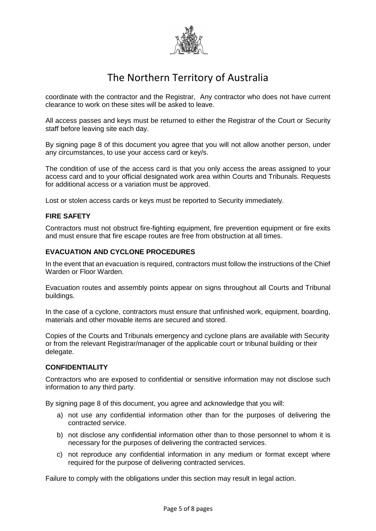

coordinate with the contractor and the Registrar, Any contractor who does not have current clearance to work on these sites will be asked to leave.

All access passes and keys must be returned to either the Registrar of the Court or Security staff before leaving site each day.

By signing page 8 of this document you agree that you will not allow another person, under any circumstances, to use your access card or key/s.

The condition of use of the access card is that you only access the areas assigned to your access card and to your official designated work area within Courts and Tribunals. Requests for additional access or a variation must be approved.

Lost or stolen access cards or keys must be reported to Security immediately.

#### <span id="page-4-0"></span>**FIRE SAFETY**

Contractors must not obstruct fire-fighting equipment, fire prevention equipment or fire exits and must ensure that fire escape routes are free from obstruction at all times.

#### <span id="page-4-1"></span>**EVACUATION AND CYCLONE PROCEDURES**

In the event that an evacuation is required, contractors must follow the instructions of the Chief Warden or Floor Warden.

Evacuation routes and assembly points appear on signs throughout all Courts and Tribunal buildings.

In the case of a cyclone, contractors must ensure that unfinished work, equipment, boarding, materials and other movable items are secured and stored.

Copies of the Courts and Tribunals emergency and cyclone plans are available with Security or from the relevant Registrar/manager of the applicable court or tribunal building or their delegate.

#### <span id="page-4-2"></span>**CONFIDENTIALITY**

Contractors who are exposed to confidential or sensitive information may not disclose such information to any third party.

By signing page 8 of this document, you agree and acknowledge that you will:

- a) not use any confidential information other than for the purposes of delivering the contracted service.
- b) not disclose any confidential information other than to those personnel to whom it is necessary for the purposes of delivering the contracted services.
- c) not reproduce any confidential information in any medium or format except where required for the purpose of delivering contracted services.

Failure to comply with the obligations under this section may result in legal action.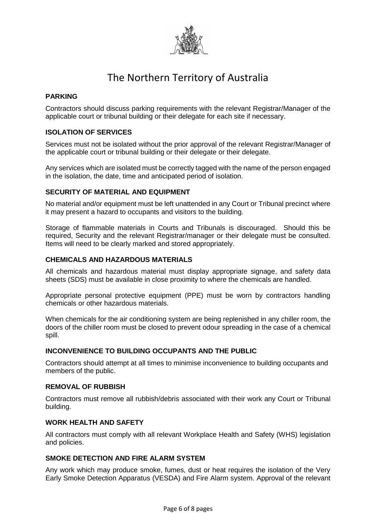

#### <span id="page-5-0"></span>**PARKING**

Contractors should discuss parking requirements with the relevant Registrar/Manager of the applicable court or tribunal building or their delegate for each site if necessary.

#### <span id="page-5-1"></span>**ISOLATION OF SERVICES**

Services must not be isolated without the prior approval of the relevant Registrar/Manager of the applicable court or tribunal building or their delegate or their delegate.

Any services which are isolated must be correctly tagged with the name of the person engaged in the isolation, the date, time and anticipated period of isolation.

#### <span id="page-5-2"></span>**SECURITY OF MATERIAL AND EQUIPMENT**

No material and/or equipment must be left unattended in any Court or Tribunal precinct where it may present a hazard to occupants and visitors to the building.

Storage of flammable materials in Courts and Tribunals is discouraged. Should this be required, Security and the relevant Registrar/manager or their delegate must be consulted. Items will need to be clearly marked and stored appropriately.

#### <span id="page-5-3"></span>**CHEMICALS AND HAZARDOUS MATERIALS**

All chemicals and hazardous material must display appropriate signage, and safety data sheets (SDS) must be available in close proximity to where the chemicals are handled.

Appropriate personal protective equipment (PPE) must be worn by contractors handling chemicals or other hazardous materials.

When chemicals for the air conditioning system are being replenished in any chiller room, the doors of the chiller room must be closed to prevent odour spreading in the case of a chemical spill.

#### <span id="page-5-4"></span>**INCONVENIENCE TO BUILDING OCCUPANTS AND THE PUBLIC**

Contractors should attempt at all times to minimise inconvenience to building occupants and members of the public.

#### <span id="page-5-5"></span>**REMOVAL OF RUBBISH**

Contractors must remove all rubbish/debris associated with their work any Court or Tribunal building.

#### <span id="page-5-6"></span>**WORK HEALTH AND SAFETY**

All contractors must comply with all relevant Workplace Health and Safety (WHS) legislation and policies.

#### <span id="page-5-7"></span>**SMOKE DETECTION AND FIRE ALARM SYSTEM**

Any work which may produce smoke, fumes, dust or heat requires the isolation of the Very Early Smoke Detection Apparatus (VESDA) and Fire Alarm system. Approval of the relevant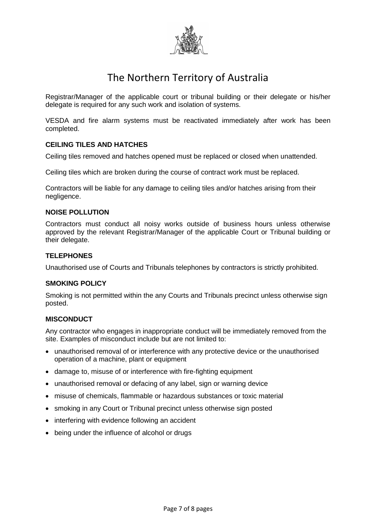

Registrar/Manager of the applicable court or tribunal building or their delegate or his/her delegate is required for any such work and isolation of systems.

VESDA and fire alarm systems must be reactivated immediately after work has been completed.

#### <span id="page-6-0"></span>**CEILING TILES AND HATCHES**

Ceiling tiles removed and hatches opened must be replaced or closed when unattended.

Ceiling tiles which are broken during the course of contract work must be replaced.

Contractors will be liable for any damage to ceiling tiles and/or hatches arising from their negligence.

#### <span id="page-6-1"></span>**NOISE POLLUTION**

Contractors must conduct all noisy works outside of business hours unless otherwise approved by the relevant Registrar/Manager of the applicable Court or Tribunal building or their delegate.

#### <span id="page-6-2"></span>**TELEPHONES**

Unauthorised use of Courts and Tribunals telephones by contractors is strictly prohibited.

#### <span id="page-6-3"></span>**SMOKING POLICY**

Smoking is not permitted within the any Courts and Tribunals precinct unless otherwise sign posted.

#### <span id="page-6-4"></span>**MISCONDUCT**

Any contractor who engages in inappropriate conduct will be immediately removed from the site. Examples of misconduct include but are not limited to:

- unauthorised removal of or interference with any protective device or the unauthorised operation of a machine, plant or equipment
- damage to, misuse of or interference with fire-fighting equipment
- unauthorised removal or defacing of any label, sign or warning device
- misuse of chemicals, flammable or hazardous substances or toxic material
- smoking in any Court or Tribunal precinct unless otherwise sign posted
- interfering with evidence following an accident
- being under the influence of alcohol or drugs